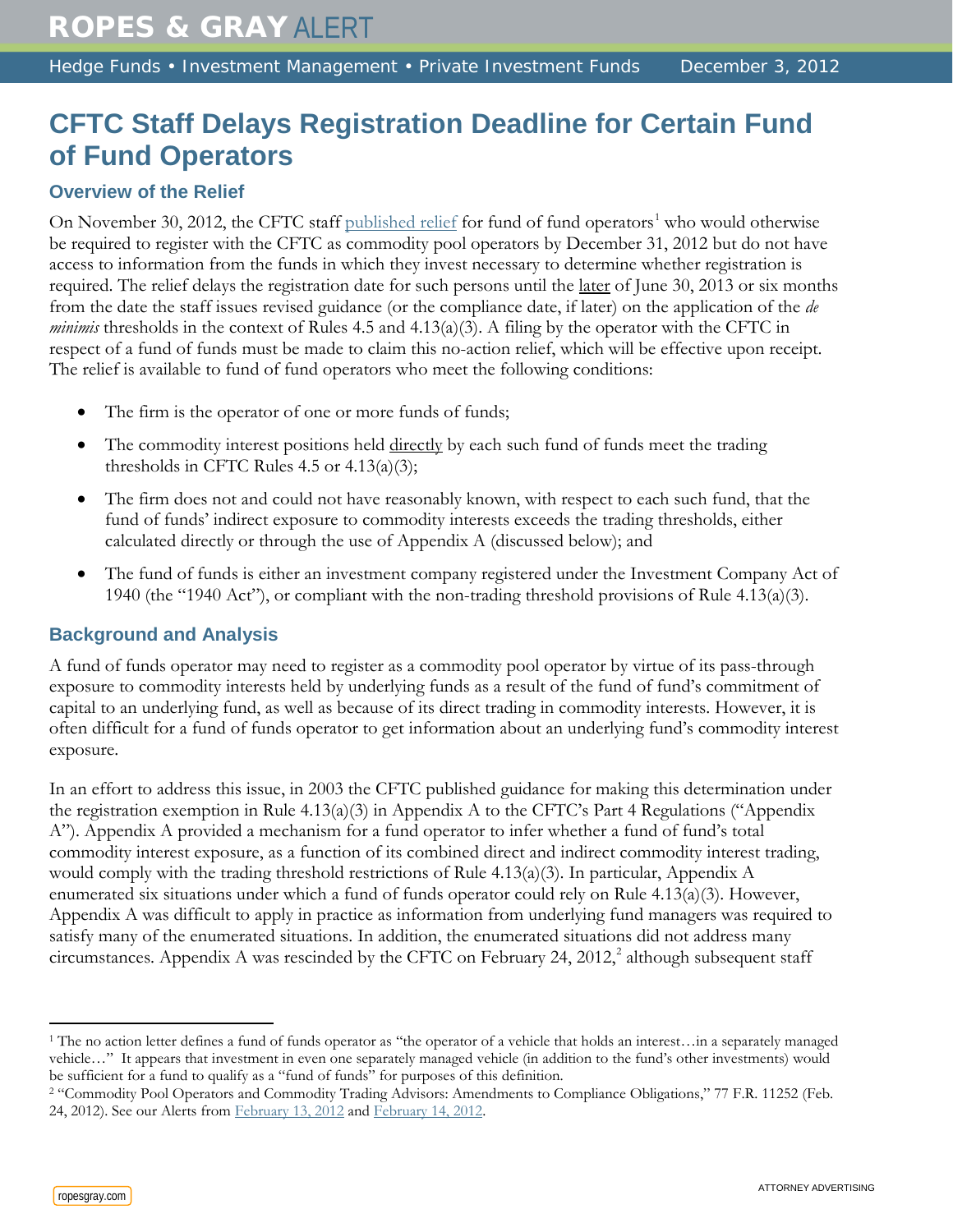## **CFTC Staff Delays Registration Deadline for Certain Fund of Fund Operators**

## **Overview of the Relief**

On November 30, 2012, the CFTC staff [published relief](http://www.cftc.gov/ucm/groups/public/@lrlettergeneral/documents/letter/12-38.pdf) for fund of fund operators<sup>[1](#page-0-0)</sup> who would otherwise be required to register with the CFTC as commodity pool operators by December 31, 2012 but do not have access to information from the funds in which they invest necessary to determine whether registration is required. The relief delays the registration date for such persons until the later of June 30, 2013 or six months from the date the staff issues revised guidance (or the compliance date, if later) on the application of the *de minimis* thresholds in the context of Rules 4.5 and 4.13(a)(3). A filing by the operator with the CFTC in respect of a fund of funds must be made to claim this no-action relief, which will be effective upon receipt. The relief is available to fund of fund operators who meet the following conditions:

- The firm is the operator of one or more funds of funds;
- The commodity interest positions held directly by each such fund of funds meet the trading thresholds in CFTC Rules 4.5 or  $4.13(a)(3)$ ;
- The firm does not and could not have reasonably known, with respect to each such fund, that the fund of funds' indirect exposure to commodity interests exceeds the trading thresholds, either calculated directly or through the use of Appendix A (discussed below); and
- The fund of funds is either an investment company registered under the Investment Company Act of 1940 (the "1940 Act"), or compliant with the non-trading threshold provisions of Rule 4.13(a)(3).

## **Background and Analysis**

A fund of funds operator may need to register as a commodity pool operator by virtue of its pass-through exposure to commodity interests held by underlying funds as a result of the fund of fund's commitment of capital to an underlying fund, as well as because of its direct trading in commodity interests. However, it is often difficult for a fund of funds operator to get information about an underlying fund's commodity interest exposure.

In an effort to address this issue, in 2003 the CFTC published guidance for making this determination under the registration exemption in Rule 4.13(a)(3) in Appendix A to the CFTC's Part 4 Regulations ("Appendix A"). Appendix A provided a mechanism for a fund operator to infer whether a fund of fund's total commodity interest exposure, as a function of its combined direct and indirect commodity interest trading, would comply with the trading threshold restrictions of Rule  $4.13(a)(3)$ . In particular, Appendix A enumerated six situations under which a fund of funds operator could rely on Rule 4.13(a)(3). However, Appendix A was difficult to apply in practice as information from underlying fund managers was required to satisfy many of the enumerated situations. In addition, the enumerated situations did not address many circumstances. Appendix A was rescinded by the CFTC on February [2](#page-0-1)4, 2012,<sup>2</sup> although subsequent staff

 $\overline{a}$ 

<span id="page-0-0"></span><sup>1</sup> The no action letter defines a fund of funds operator as "the operator of a vehicle that holds an interest…in a separately managed vehicle…" It appears that investment in even one separately managed vehicle (in addition to the fund's other investments) would be sufficient for a fund to qualify as a "fund of funds" for purposes of this definition.

<span id="page-0-1"></span><sup>2</sup> "Commodity Pool Operators and Commodity Trading Advisors: Amendments to Compliance Obligations," 77 F.R. 11252 (Feb. 24, 2012). See our Alerts from [February 13, 2012](http://www.ropesgray.com/files/Publication/4ce342b5-daa4-4632-8432-155375d9daf4/Presentation/PublicationAttachment/7cfbede3-b94e-46b2-a8f9-156ffb3c1ecc/20120213_HF_Alert.pdf) and [February 14, 2012.](http://www.ropesgray.com/files/Publication/aa99c1f6-d18b-42cf-bbd2-64bdab4d1646/Presentation/PublicationAttachment/964e1a0f-84f3-4bdf-a238-65bf36ab991e/20120214_IM_Alert.pdf)